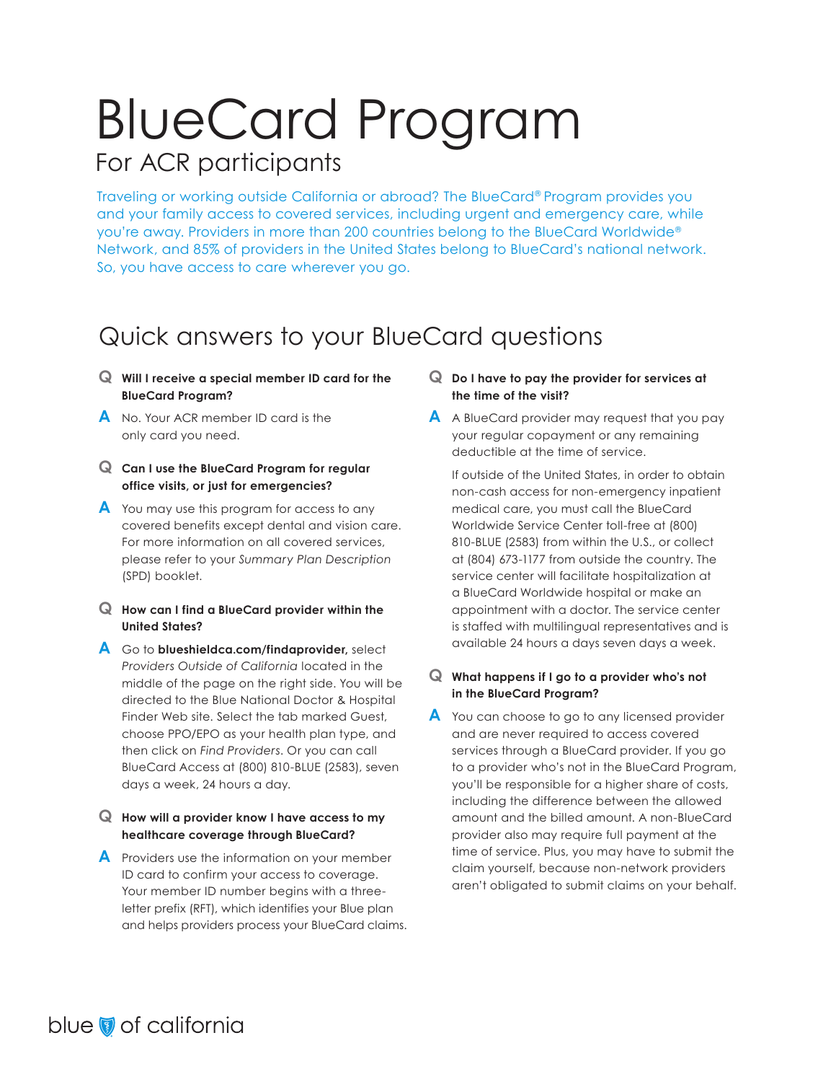# BlueCard Program For ACR participants

Traveling or working outside California or abroad? The BlueCard® Program provides you and your family access to covered services, including urgent and emergency care, while you're away. Providers in more than 200 countries belong to the BlueCard Worldwide® Network, and 85% of providers in the United States belong to BlueCard's national network. So, you have access to care wherever you go.

### Quick answers to your BlueCard questions

- **Q Will I receive a special member ID card for the BlueCard Program?**
- **A** No. Your ACR member ID card is the only card you need.
- **Q Can I use the BlueCard Program for regular office visits, or just for emergencies?**
- **A** You may use this program for access to any covered benefits except dental and vision care. For more information on all covered services, please refer to your *Summary Plan Description*  (SPD) booklet.
- **Q How can I find a BlueCard provider within the United States?**
- **A** Go to **blueshieldca.com/findaprovider,** select *Providers Outside of California* located in the middle of the page on the right side. You will be directed to the Blue National Doctor & Hospital Finder Web site. Select the tab marked Guest, choose PPO/EPO as your health plan type, and then click on *Find Providers*. Or you can call BlueCard Access at (800) 810-BLUE (2583), seven days a week, 24 hours a day.

#### **Q How will a provider know I have access to my healthcare coverage through BlueCard?**

**A** Providers use the information on your member ID card to confirm your access to coverage. Your member ID number begins with a threeletter prefix (RFT), which identifies your Blue plan and helps providers process your BlueCard claims.

#### **Q Do I have to pay the provider for services at the time of the visit?**

**A** A BlueCard provider may request that you pay your regular copayment or any remaining deductible at the time of service.

 If outside of the United States, in order to obtain non-cash access for non-emergency inpatient medical care, you must call the BlueCard Worldwide Service Center toll-free at (800) 810-BLUE (2583) from within the U.S., or collect at (804) 673-1177 from outside the country. The service center will facilitate hospitalization at a BlueCard Worldwide hospital or make an appointment with a doctor. The service center is staffed with multilingual representatives and is available 24 hours a days seven days a week.

#### **Q What happens if I go to a provider who's not in the BlueCard Program?**

**A** You can choose to go to any licensed provider and are never required to access covered services through a BlueCard provider. If you go to a provider who's not in the BlueCard Program, you'll be responsible for a higher share of costs, including the difference between the allowed amount and the billed amount. A non-BlueCard provider also may require full payment at the time of service. Plus, you may have to submit the claim yourself, because non-network providers aren't obligated to submit claims on your behalf.

### blue of california